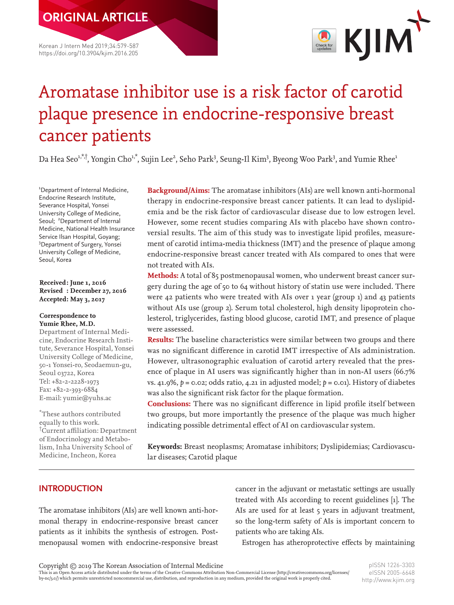Korean J Intern Med 2019;34:579-587 https://doi.org/10.3904/kjim.2016.205



# Aromatase inhibitor use is a risk factor of carotid plaque presence in endocrine-responsive breast cancer patients

Da Hea Seo<sup>1,\*,†</sup>, Yongin Cho<sup>1,\*</sup>, Sujin Lee<sup>2</sup>, Seho Park<sup>3</sup>, Seung-Il Kim<sup>3</sup>, Byeong Woo Park<sup>3</sup>, and Yumie Rhee<sup>1</sup>

1 Department of Internal Medicine, Endocrine Research Institute, Severance Hospital, Yonsei University College of Medicine, Seoul; <sup>2</sup>Department of Internal Medicine, National Health Insurance Service Ilsan Hospital, Goyang; 3 Department of Surgery, Yonsei University College of Medicine, Seoul, Korea

#### **Received: June 1, 2016 Revised : December 27, 2016 Accepted: May 3, 2017**

#### **Correspondence to Yumie Rhee, M.D.**

Department of Internal Medicine, Endocrine Research Institute, Severance Hospital, Yonsei University College of Medicine, 50-1 Yonsei-ro, Seodaemun-gu, Seoul 03722, Korea Tel: +82-2-2228-1973 Fax: +82-2-393-6884 E-mail: yumie@yuhs.ac

\* These authors contributed equally to this work. † Current affiliation: Department of Endocrinology and Metabolism, Inha University School of Medicine, Incheon, Korea

**Background/Aims:** The aromatase inhibitors (AIs) are well known anti-hormonal therapy in endocrine-responsive breast cancer patients. It can lead to dyslipidemia and be the risk factor of cardiovascular disease due to low estrogen level. However, some recent studies comparing AIs with placebo have shown controversial results. The aim of this study was to investigate lipid profiles, measurement of carotid intima-media thickness (IMT) and the presence of plaque among endocrine-responsive breast cancer treated with AIs compared to ones that were not treated with AIs.

**Methods:** A total of 85 postmenopausal women, who underwent breast cancer surgery during the age of 50 to 64 without history of statin use were included. There were 42 patients who were treated with AIs over 1 year (group 1) and 43 patients without AIs use (group 2). Serum total cholesterol, high density lipoprotein cholesterol, triglycerides, fasting blood glucose, carotid IMT, and presence of plaque were assessed.

**Results:** The baseline characteristics were similar between two groups and there was no significant difference in carotid IMT irrespective of AIs administration. However, ultrasonographic evaluation of carotid artery revealed that the presence of plaque in AI users was significantly higher than in non-AI users (66.7% vs. 41.9%,  $p = 0.02$ ; odds ratio, 4.21 in adjusted model;  $p = 0.01$ ). History of diabetes was also the significant risk factor for the plaque formation.

**Conclusions:** There was no significant difference in lipid profile itself between two groups, but more importantly the presence of the plaque was much higher indicating possible detrimental effect of AI on cardiovascular system.

**Keywords:** Breast neoplasms; Aromatase inhibitors; Dyslipidemias; Cardiovascular diseases; Carotid plaque

# **INTRODUCTION**

The aromatase inhibitors (AIs) are well known anti-hormonal therapy in endocrine-responsive breast cancer patients as it inhibits the synthesis of estrogen. Postmenopausal women with endocrine-responsive breast cancer in the adjuvant or metastatic settings are usually treated with AIs according to recent guidelines [1]. The AIs are used for at least 5 years in adjuvant treatment, so the long-term safety of AIs is important concern to patients who are taking AIs.

Estrogen has atheroprotective effects by maintaining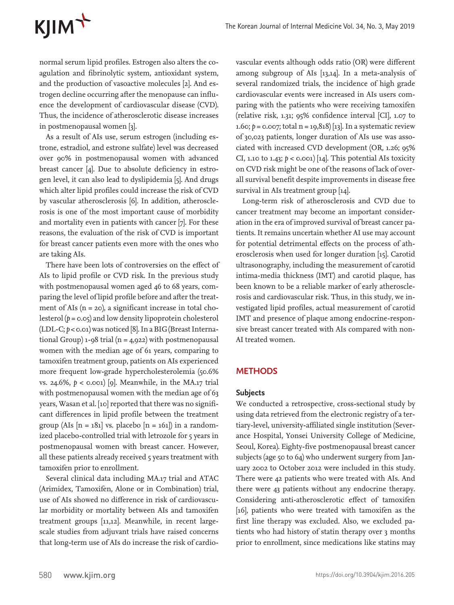# KJIM<sup>T</sup>

normal serum lipid profiles. Estrogen also alters the coagulation and fibrinolytic system, antioxidant system, and the production of vasoactive molecules [2]. And estrogen decline occurring after the menopause can influence the development of cardiovascular disease (CVD). Thus, the incidence of atherosclerotic disease increases in postmenopausal women [3].

As a result of AIs use, serum estrogen (including estrone, estradiol, and estrone sulfate) level was decreased over 90% in postmenopausal women with advanced breast cancer [4]. Due to absolute deficiency in estrogen level, it can also lead to dyslipidemia [5]. And drugs which alter lipid profiles could increase the risk of CVD by vascular atherosclerosis [6]. In addition, atherosclerosis is one of the most important cause of morbidity and mortality even in patients with cancer [7]. For these reasons, the evaluation of the risk of CVD is important for breast cancer patients even more with the ones who are taking AIs.

There have been lots of controversies on the effect of AIs to lipid profile or CVD risk. In the previous study with postmenopausal women aged 46 to 68 years, comparing the level of lipid profile before and after the treatment of AIs  $(n = 20)$ , a significant increase in total cholesterol (*p* = 0.05) and low density lipoprotein cholesterol (LDL-C; *p* < 0.01) was noticed [8]. In a BIG (Breast International Group)  $1-98$  trial (n = 4,922) with postmenopausal women with the median age of 61 years, comparing to tamoxifen treatment group, patients on AIs experienced more frequent low-grade hypercholesterolemia (50.6% vs. 24.6%, *p* < 0.001) [9]. Meanwhile, in the MA.17 trial with postmenopausal women with the median age of 63 years, Wasan et al. [10] reported that there was no significant differences in lipid profile between the treatment group (AIs  $[n = 181]$  vs. placebo  $[n = 161]$ ) in a randomized placebo-controlled trial with letrozole for 5 years in postmenopausal women with breast cancer. However, all these patients already received 5 years treatment with tamoxifen prior to enrollment.

Several clinical data including MA.17 trial and ATAC (Arimidex, Tamoxifen, Alone or in Combination) trial, use of AIs showed no difference in risk of cardiovascular morbidity or mortality between AIs and tamoxifen treatment groups [11,12]. Meanwhile, in recent largescale studies from adjuvant trials have raised concerns that long-term use of AIs do increase the risk of cardio-

vascular events although odds ratio (OR) were different among subgroup of AIs [13,14]. In a meta-analysis of several randomized trials, the incidence of high grade cardiovascular events were increased in AIs users comparing with the patients who were receiving tamoxifen (relative risk, 1.31; 95% confidence interval [CI], 1.07 to 1.60;  $p = 0.007$ ; total  $n = 19,818$  [13]. In a systematic review of 30,023 patients, longer duration of AIs use was associated with increased CVD development (OR, 1.26; 95% CI, 1.10 to 1.43; *p* < 0.001) [14]. This potential AIs toxicity on CVD risk might be one of the reasons of lack of overall survival benefit despite improvements in disease free survival in AIs treatment group [14].

Long-term risk of atherosclerosis and CVD due to cancer treatment may become an important consideration in the era of improved survival of breast cancer patients. It remains uncertain whether AI use may account for potential detrimental effects on the process of atherosclerosis when used for longer duration [15]. Carotid ultrasonography, including the measurement of carotid intima-media thickness (IMT) and carotid plaque, has been known to be a reliable marker of early atherosclerosis and cardiovascular risk. Thus, in this study, we investigated lipid profiles, actual measurement of carotid IMT and presence of plaque among endocrine-responsive breast cancer treated with AIs compared with non-AI treated women.

## **METHODS**

#### **Subjects**

We conducted a retrospective, cross-sectional study by using data retrieved from the electronic registry of a tertiary-level, university-affiliated single institution (Severance Hospital, Yonsei University College of Medicine, Seoul, Korea). Eighty-five postmenopausal breast cancer subjects (age 50 to 64) who underwent surgery from January 2002 to October 2012 were included in this study. There were 42 patients who were treated with AIs. And there were 43 patients without any endocrine therapy. Considering anti-atherosclerotic effect of tamoxifen [16], patients who were treated with tamoxifen as the first line therapy was excluded. Also, we excluded patients who had history of statin therapy over 3 months prior to enrollment, since medications like statins may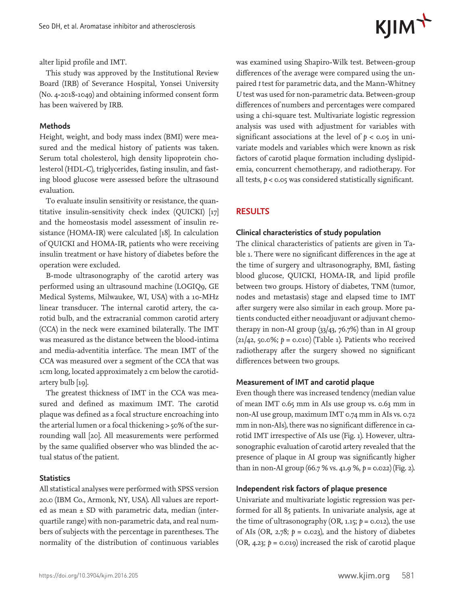

alter lipid profile and IMT.

This study was approved by the Institutional Review Board (IRB) of Severance Hospital, Yonsei University (No. 4-2018-1049) and obtaining informed consent form has been waivered by IRB.

#### **Methods**

Height, weight, and body mass index (BMI) were measured and the medical history of patients was taken. Serum total cholesterol, high density lipoprotein cholesterol (HDL-C), triglycerides, fasting insulin, and fasting blood glucose were assessed before the ultrasound evaluation.

To evaluate insulin sensitivity or resistance, the quantitative insulin-sensitivity check index (QUICKI) [17] and the homeostasis model assessment of insulin resistance (HOMA-IR) were calculated [18]. In calculation of QUICKI and HOMA-IR, patients who were receiving insulin treatment or have history of diabetes before the operation were excluded.

B-mode ultrasonography of the carotid artery was performed using an ultrasound machine (LOGIQ9, GE Medical Systems, Milwaukee, WI, USA) with a 10-MHz linear transducer. The internal carotid artery, the carotid bulb, and the extracranial common carotid artery (CCA) in the neck were examined bilaterally. The IMT was measured as the distance between the blood-intima and media-adventitia interface. The mean IMT of the CCA was measured over a segment of the CCA that was 1cm long, located approximately 2 cm below the carotidartery bulb [19].

The greatest thickness of IMT in the CCA was measured and defined as maximum IMT. The carotid plaque was defined as a focal structure encroaching into the arterial lumen or a focal thickening > 50% of the surrounding wall [20]. All measurements were performed by the same qualified observer who was blinded the actual status of the patient.

#### **Statistics**

All statistical analyses were performed with SPSS version 20.0 (IBM Co., Armonk, NY, USA). All values are reported as mean ± SD with parametric data, median (interquartile range) with non-parametric data, and real numbers of subjects with the percentage in parentheses. The normality of the distribution of continuous variables was examined using Shapiro-Wilk test. Between-group differences of the average were compared using the unpaired *t* test for parametric data, and the Mann-Whitney *U* test was used for non-parametric data. Between-group differences of numbers and percentages were compared using a chi-square test. Multivariate logistic regression analysis was used with adjustment for variables with significant associations at the level of  $p < 0.05$  in univariate models and variables which were known as risk factors of carotid plaque formation including dyslipidemia, concurrent chemotherapy, and radiotherapy. For all tests, *p* < 0.05 was considered statistically significant.

#### **RESULTS**

#### **Clinical characteristics of study population**

The clinical characteristics of patients are given in Table 1. There were no significant differences in the age at the time of surgery and ultrasonography, BMI, fasting blood glucose, QUICKI, HOMA-IR, and lipid profile between two groups. History of diabetes, TNM (tumor, nodes and metastasis) stage and elapsed time to IMT after surgery were also similar in each group. More patients conducted either neoadjuvant or adjuvant chemotherapy in non-AI group (33/43, 76.7%) than in AI group (21/42, 50.0%; *p* = 0.010) (Table 1). Patients who received radiotherapy after the surgery showed no significant differences between two groups.

#### **Measurement of IMT and carotid plaque**

Even though there was increased tendency (median value of mean IMT 0.65 mm in AIs use group vs. 0.63 mm in non-AI use group, maximum IMT 0.74 mm in AIs vs. 0.72 mm in non-AIs), there was no significant difference in carotid IMT irrespective of AIs use (Fig. 1). However, ultrasonographic evaluation of carotid artery revealed that the presence of plaque in AI group was significantly higher than in non-AI group (66.7 % vs. 41.9 %, *p* = 0.022) (Fig. 2).

### **Independent risk factors of plaque presence**

Univariate and multivariate logistic regression was performed for all 85 patients. In univariate analysis, age at the time of ultrasonography (OR, 1.15;  $p = 0.012$ ), the use of AIs (OR, 2.78;  $p = 0.023$ ), and the history of diabetes (OR, 4.23; *p* = 0.019) increased the risk of carotid plaque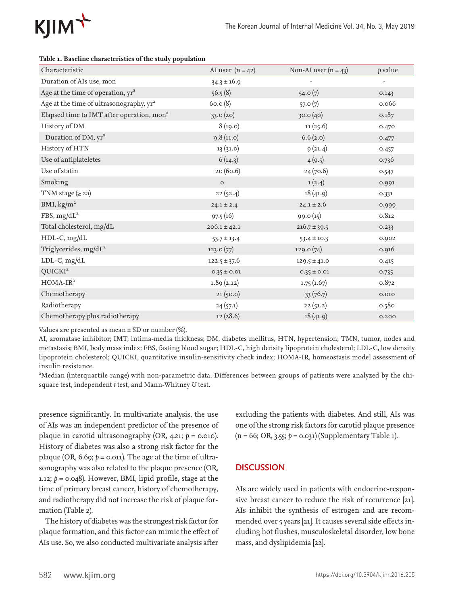

| Characteristic                                        | AI user $(n = 42)$ | Non-AI user $(n = 43)$ | p value |
|-------------------------------------------------------|--------------------|------------------------|---------|
| Duration of AIs use, mon                              | $34.3 \pm 16.9$    |                        |         |
| Age at the time of operation, yr <sup>a</sup>         | 56.5(8)            | 54.0(7)                | 0.143   |
| Age at the time of ultrasonography, yr <sup>a</sup>   | 60.0(8)            | 57.0(7)                | 0.066   |
| Elapsed time to IMT after operation, mon <sup>a</sup> | 33.0(20)           | 30.0(40)               | 0.187   |
| History of DM                                         | 8(19.0)            | 11(25.6)               | 0.470   |
| Duration of DM, yr <sup>a</sup>                       | 9.8(11.0)          | 6.6(2.0)               | 0.477   |
| History of HTN                                        | 13(31.0)           | 9(21.4)                | 0.457   |
| Use of antiplateletes                                 | 6(14.3)            | 4(9.5)                 | 0.736   |
| Use of statin                                         | 20 (60.6)          | 24(70.6)               | 0.547   |
| Smoking                                               | $\circ$            | 1(2.4)                 | 0.991   |
| TNM stage $(2 2a)$                                    | 22(52.4)           | 18(41.9)               | 0.331   |
| BMI, $\text{kg/m}^2$                                  | $24.1 \pm 2.4$     | $24.1\pm2.6$           | 0.999   |
| FBS, $mg/dL^a$                                        | 97.5(16)           | 99.0(15)               | 0.812   |
| Total cholesterol, mg/dL                              | $206.1 \pm 42.1$   | $216.7 \pm 39.5$       | 0.233   |
| HDL-C, mg/dL                                          | $53.7 \pm 13.4$    | $53.4 \pm 10.3$        | 0.902   |
| Triglycerides, mg/dL <sup>a</sup>                     | 123.0(77)          | 129.0(74)              | 0.916   |
| $LDL-C, mg/dL$                                        | $122.5 \pm 37.6$   | $129.5 \pm 41.0$       | 0.415   |
| QUICKI <sup>a</sup>                                   | $0.35 \pm 0.01$    | $0.35 \pm 0.01$        | 0.735   |
| $HOMA-IRa$                                            | 1.89(2.12)         | 1.75(1.67)             | 0.872   |
| Chemotherapy                                          | 21(50.0)           | 33(76.7)               | 0.010   |
| Radiotherapy                                          | 24(57.1)           | 22(51.2)               | 0.580   |
| Chemotherapy plus radiotherapy                        | 12(28.6)           | 18(41.9)               | 0.200   |

#### **Table 1. Baseline characteristics of the study population**

Values are presented as mean ± SD or number (%).

AI, aromatase inhibitor; IMT, intima-media thickness; DM, diabetes mellitus, HTN, hypertension; TMN, tumor, nodes and metastasis; BMI, body mass index; FBS, fasting blood sugar; HDL-C, high density lipoprotein cholesterol; LDL-C, low density lipoprotein cholesterol; QUICKI, quantitative insulin-sensitivity check index; HOMA-IR, homeostasis model assessment of insulin resistance.

<sup>a</sup>Median (interquartile range) with non-parametric data. Differences between groups of patients were analyzed by the chisquare test, independent *t* test, and Mann-Whitney *U* test.

presence significantly. In multivariate analysis, the use of AIs was an independent predictor of the presence of plaque in carotid ultrasonography (OR, 4.21; *p* = 0.010). History of diabetes was also a strong risk factor for the plaque (OR, 6.69;  $p = 0.011$ ). The age at the time of ultrasonography was also related to the plaque presence (OR, 1.12; *p* = 0.048). However, BMI, lipid profile, stage at the time of primary breast cancer, history of chemotherapy, and radiotherapy did not increase the risk of plaque formation (Table 2).

The history of diabetes was the strongest risk factor for plaque formation, and this factor can mimic the effect of AIs use. So, we also conducted multivariate analysis after

excluding the patients with diabetes. And still, AIs was one of the strong risk factors for carotid plaque presence (n = 66; OR, 3.55; *p* = 0.031) (Supplementary Table 1).

## **DISCUSSION**

AIs are widely used in patients with endocrine-responsive breast cancer to reduce the risk of recurrence [21]. AIs inhibit the synthesis of estrogen and are recommended over 5 years [21]. It causes several side effects including hot flushes, musculoskeletal disorder, low bone mass, and dyslipidemia [22].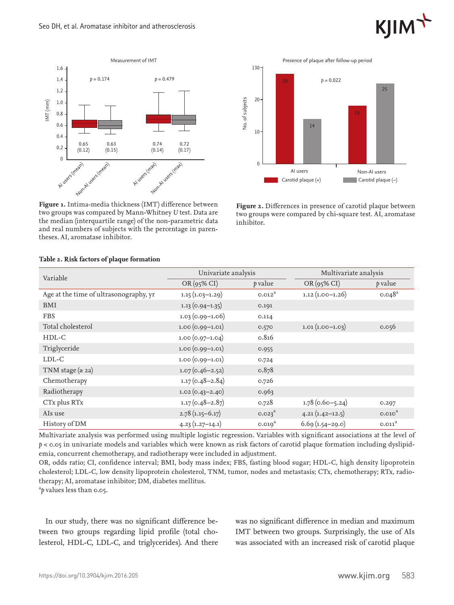



**Figure 1.** Intima-media thickness (IMT) difference between two groups was compared by Mann-Whitney *U* test. Data are the median (interquartile range) of the non-parametric data and real numbers of subjects with the percentage in parentheses. AI, aromatase inhibitor.



**Figure 2.** Differences in presence of carotid plaque between two groups were compared by chi-square test. AI, aromatase inhibitor.

| Variable                               | Univariate analysis |                    | Multivariate analysis |                      |
|----------------------------------------|---------------------|--------------------|-----------------------|----------------------|
|                                        | $OR(95\% CI)$       | p value            | $OR(95\% CI)$         | p value              |
| Age at the time of ultrasonography, yr | $1.15(1.03-1.29)$   | 0.012 <sup>2</sup> | $1.12(1.00-1.26)$     | $0.048$ <sup>a</sup> |
| BMI                                    | $1.13(0.94-1.35)$   | 0.191              |                       |                      |
| <b>FBS</b>                             | $1.03(0.99-1.06)$   | 0.114              |                       |                      |
| Total cholesterol                      | $1.00(0.99 - 1.01)$ | 0.570              | $1.01(1.00-1.03)$     | 0.056                |
| $HDL-C$                                | $1.00(0.97-1.04)$   | 0.816              |                       |                      |
| Triglyceride                           | $1.00(0.99 - 1.01)$ | 0.955              |                       |                      |
| LDL-C                                  | $1.00(0.99-1.01)$   | 0.724              |                       |                      |
| TNM stage $(2 2a)$                     | $1.07(0.46 - 2.52)$ | 0.878              |                       |                      |
| Chemotherapy                           | $1.17(0.48 - 2.84)$ | 0.726              |                       |                      |
| Radiotherapy                           | $1.02(0.43 - 2.40)$ | 0.963              |                       |                      |
| CTx plus RTx                           | $1.17(0.48 - 2.87)$ | 0.728              | $1.78(0.60 - 5.24)$   | 0.297                |
| AIs use                                | $2.78(1.15-6.17)$   | 0.023 <sup>a</sup> | $4.21(1.42 - 12.5)$   | 0.010 <sup>3</sup>   |
| History of DM                          | $4.23(1.27-14.1)$   | 0.019 <sup>a</sup> | $6.69(1.54-29.0)$     | 0.011 <sup>a</sup>   |

#### **Table 2. Risk factors of plaque formation**

Multivariate analysis was performed using multiple logistic regression. Variables with significant associations at the level of *p* < 0.05 in univariate models and variables which were known as risk factors of carotid plaque formation including dyslipidemia, concurrent chemotherapy, and radiotherapy were included in adjustment.

OR, odds ratio; CI, confidence interval; BMI, body mass index; FBS, fasting blood sugar; HDL-C, high density lipoprotein cholesterol; LDL-C, low density lipoprotein cholesterol, TNM, tumor, nodes and metastasis; CTx, chemotherapy; RTx, radiotherapy; AI, aromatase inhibitor; DM, diabetes mellitus.

a *p* values less than 0.05.

In our study, there was no significant difference between two groups regarding lipid profile (total cholesterol, HDL-C, LDL-C, and triglycerides). And there was no significant difference in median and maximum IMT between two groups. Surprisingly, the use of AIs was associated with an increased risk of carotid plaque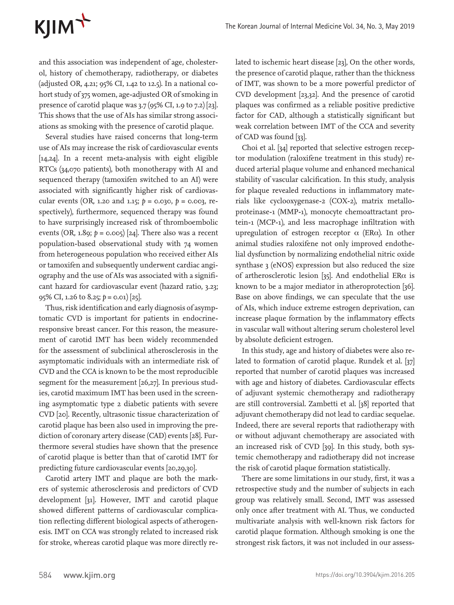# KJIM<sup>T</sup>

and this association was independent of age, cholesterol, history of chemotherapy, radiotherapy, or diabetes (adjusted OR, 4.21; 95% CI, 1.42 to 12.5). In a national cohort study of 375 women, age-adjusted OR of smoking in presence of carotid plaque was  $3.7$  (95% CI, 1.9 to 7.2) [23]. This shows that the use of AIs has similar strong associations as smoking with the presence of carotid plaque.

Several studies have raised concerns that long-term use of AIs may increase the risk of cardiovascular events [14,24]. In a recent meta-analysis with eight eligible RTCs (34,070 patients), both monotherapy with AI and sequenced therapy (tamoxifen switched to an AI) were associated with significantly higher risk of cardiovascular events (OR, 1.20 and 1.15; *p* = 0.030, *p* = 0.003, respectively), furthermore, sequenced therapy was found to have surprisingly increased risk of thromboembolic events (OR, 1.89; *p* = 0.005) [24]. There also was a recent population-based observational study with 74 women from heterogeneous population who received either AIs or tamoxifen and subsequently underwent cardiac angiography and the use of AIs was associated with a significant hazard for cardiovascular event (hazard ratio, 3.23; 95% CI, 1.26 to 8.25; *p* = 0.01) [25].

Thus, risk identification and early diagnosis of asymptomatic CVD is important for patients in endocrineresponsive breast cancer. For this reason, the measurement of carotid IMT has been widely recommended for the assessment of subclinical atherosclerosis in the asymptomatic individuals with an intermediate risk of CVD and the CCA is known to be the most reproducible segment for the measurement [26,27]. In previous studies, carotid maximum IMT has been used in the screening asymptomatic type 2 diabetic patients with severe CVD [20]. Recently, ultrasonic tissue characterization of carotid plaque has been also used in improving the prediction of coronary artery disease (CAD) events [28]. Furthermore several studies have shown that the presence of carotid plaque is better than that of carotid IMT for predicting future cardiovascular events [20,29,30].

Carotid artery IMT and plaque are both the markers of systemic atherosclerosis and predictors of CVD development [31]. However, IMT and carotid plaque showed different patterns of cardiovascular complication reflecting different biological aspects of atherogenesis. IMT on CCA was strongly related to increased risk for stroke, whereas carotid plaque was more directly related to ischemic heart disease [23], On the other words, the presence of carotid plaque, rather than the thickness of IMT, was shown to be a more powerful predictor of CVD development [23,32]. And the presence of carotid plaques was confirmed as a reliable positive predictive factor for CAD, although a statistically significant but weak correlation between IMT of the CCA and severity of CAD was found [33].

Choi et al. [34] reported that selective estrogen receptor modulation (raloxifene treatment in this study) reduced arterial plaque volume and enhanced mechanical stability of vascular calcification. In this study, analysis for plaque revealed reductions in inflammatory materials like cyclooxygenase-2 (COX-2), matrix metalloproteinase-1 (MMP-1), monocyte chemoattractant protein-1 (MCP-1), and less macrophage infiltration with upregulation of estrogen receptor  $\alpha$  (ER $\alpha$ ). In other animal studies raloxifene not only improved endothelial dysfunction by normalizing endothelial nitric oxide synthase 3 (eNOS) expression but also reduced the size of artherosclerotic lesion [35]. And endothelial  $ER\alpha$  is known to be a major mediator in atheroprotection [36]. Base on above findings, we can speculate that the use of AIs, which induce extreme estrogen deprivation, can increase plaque formation by the inflammatory effects in vascular wall without altering serum cholesterol level by absolute deficient estrogen.

In this study, age and history of diabetes were also related to formation of carotid plaque. Rundek et al. [37] reported that number of carotid plaques was increased with age and history of diabetes. Cardiovascular effects of adjuvant systemic chemotherapy and radiotherapy are still controversial. Zambetti et al. [38] reported that adjuvant chemotherapy did not lead to cardiac sequelae. Indeed, there are several reports that radiotherapy with or without adjuvant chemotherapy are associated with an increased risk of CVD [39]. In this study, both systemic chemotherapy and radiotherapy did not increase the risk of carotid plaque formation statistically.

There are some limitations in our study, first, it was a retrospective study and the number of subjects in each group was relatively small. Second, IMT was assessed only once after treatment with AI. Thus, we conducted multivariate analysis with well-known risk factors for carotid plaque formation. Although smoking is one the strongest risk factors, it was not included in our assess-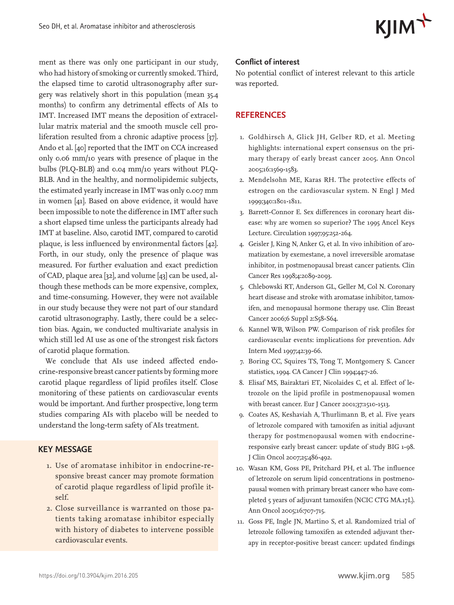$KJIM^+$ 

ment as there was only one participant in our study, who had history of smoking or currently smoked. Third, the elapsed time to carotid ultrasonography after surgery was relatively short in this population (mean 35.4 months) to confirm any detrimental effects of AIs to IMT. Increased IMT means the deposition of extracellular matrix material and the smooth muscle cell proliferation resulted from a chronic adaptive process [37]. Ando et al. [40] reported that the IMT on CCA increased only 0.06 mm/10 years with presence of plaque in the bulbs (PLQ-BLB) and 0.04 mm/10 years without PLQ-BLB. And in the healthy, and normolipidemic subjects, the estimated yearly increase in IMT was only 0.007 mm in women [41]. Based on above evidence, it would have been impossible to note the difference in IMT after such a short elapsed time unless the participants already had IMT at baseline. Also, carotid IMT, compared to carotid plaque, is less influenced by environmental factors [42]. Forth, in our study, only the presence of plaque was measured. For further evaluation and exact prediction of CAD, plaque area [32], and volume [43] can be used, although these methods can be more expensive, complex, and time-consuming. However, they were not available in our study because they were not part of our standard carotid ultrasonography. Lastly, there could be a selection bias. Again, we conducted multivariate analysis in which still led AI use as one of the strongest risk factors of carotid plaque formation.

We conclude that AIs use indeed affected endocrine-responsive breast cancer patients by forming more carotid plaque regardless of lipid profiles itself. Close monitoring of these patients on cardiovascular events would be important. And further prospective, long term studies comparing AIs with placebo will be needed to understand the long-term safety of AIs treatment.

## **KEY MESSAGE**

- 1. Use of aromatase inhibitor in endocrine-responsive breast cancer may promote formation of carotid plaque regardless of lipid profile itself.
- 2. Close surveillance is warranted on those patients taking aromatase inhibitor especially with history of diabetes to intervene possible cardiovascular events.

#### **Conflict of interest**

No potential conflict of interest relevant to this article was reported.

### **REFERENCES**

- 1. Goldhirsch A, Glick JH, Gelber RD, et al. Meeting highlights: international expert consensus on the primary therapy of early breast cancer 2005. Ann Oncol 2005;16:1569-1583.
- 2. Mendelsohn ME, Karas RH. The protective effects of estrogen on the cardiovascular system. N Engl J Med 1999;340:1801-1811.
- 3. Barrett-Connor E. Sex differences in coronary heart disease: why are women so superior? The 1995 Ancel Keys Lecture. Circulation 1997;95:252-264.
- 4. Geisler J, King N, Anker G, et al. In vivo inhibition of aromatization by exemestane, a novel irreversible aromatase inhibitor, in postmenopausal breast cancer patients. Clin Cancer Res 1998;4:2089-2093.
- 5. Chlebowski RT, Anderson GL, Geller M, Col N. Coronary heart disease and stroke with aromatase inhibitor, tamoxifen, and menopausal hormone therapy use. Clin Breast Cancer 2006;6 Suppl 2:S58-S64.
- 6. Kannel WB, Wilson PW. Comparison of risk profiles for cardiovascular events: implications for prevention. Adv Intern Med 1997;42:39-66.
- 7. Boring CC, Squires TS, Tong T, Montgomery S. Cancer statistics, 1994. CA Cancer J Clin 1994;44:7-26.
- 8. Elisaf MS, Bairaktari ET, Nicolaides C, et al. Effect of letrozole on the lipid profile in postmenopausal women with breast cancer. Eur J Cancer 2001;37:1510-1513.
- 9. Coates AS, Keshaviah A, Thurlimann B, et al. Five years of letrozole compared with tamoxifen as initial adjuvant therapy for postmenopausal women with endocrineresponsive early breast cancer: update of study BIG 1-98. J Clin Oncol 2007;25:486-492.
- 10. Wasan KM, Goss PE, Pritchard PH, et al. The influence of letrozole on serum lipid concentrations in postmenopausal women with primary breast cancer who have completed 5 years of adjuvant tamoxifen (NCIC CTG MA.17L). Ann Oncol 2005;16:707-715.
- 11. Goss PE, Ingle JN, Martino S, et al. Randomized trial of letrozole following tamoxifen as extended adjuvant therapy in receptor-positive breast cancer: updated findings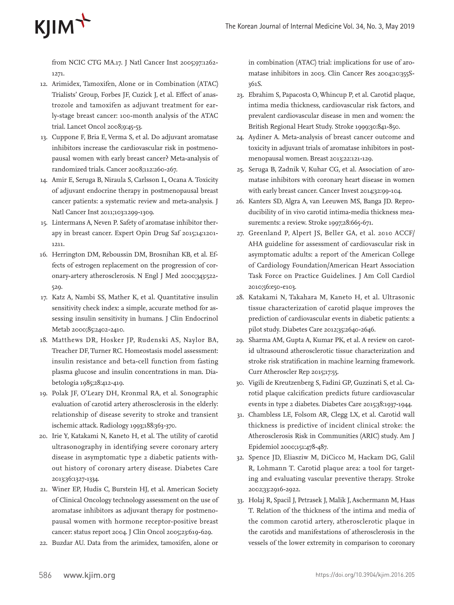# $K$  $\text{I}$  $\text{I}$  $\text{M}$  $\uparrow$

from NCIC CTG MA.17. J Natl Cancer Inst 2005;07:1262-1271.

- 12. Arimidex, Tamoxifen, Alone or in Combination (ATAC) Trialists' Group, Forbes JF, Cuzick J, et al. Effect of anastrozole and tamoxifen as adjuvant treatment for early-stage breast cancer: 100-month analysis of the ATAC trial. Lancet Oncol 2008;9:45-53.
- 13. Cuppone F, Bria E, Verma S, et al. Do adjuvant aromatase inhibitors increase the cardiovascular risk in postmenopausal women with early breast cancer? Meta-analysis of randomized trials. Cancer 2008;112:260-267.
- 14. Amir E, Seruga B, Niraula S, Carlsson L, Ocana A. Toxicity of adjuvant endocrine therapy in postmenopausal breast cancer patients: a systematic review and meta-analysis. J Natl Cancer Inst 2011;103:1299-1309.
- 15. Lintermans A, Neven P. Safety of aromatase inhibitor therapy in breast cancer. Expert Opin Drug Saf 2015;14:1201- 1211.
- 16. Herrington DM, Reboussin DM, Brosnihan KB, et al. Effects of estrogen replacement on the progression of coronary-artery atherosclerosis. N Engl J Med 2000;343:522- 529.
- 17. Katz A, Nambi SS, Mather K, et al. Quantitative insulin sensitivity check index: a simple, accurate method for assessing insulin sensitivity in humans. J Clin Endocrinol Metab 2000;85:2402-2410.
- 18. Matthews DR, Hosker JP, Rudenski AS, Naylor BA, Treacher DF, Turner RC. Homeostasis model assessment: insulin resistance and beta-cell function from fasting plasma glucose and insulin concentrations in man. Diabetologia 1985;28:412-419.
- 19. Polak JF, O'Leary DH, Kronmal RA, et al. Sonographic evaluation of carotid artery atherosclerosis in the elderly: relationship of disease severity to stroke and transient ischemic attack. Radiology 1993;188:363-370.
- 20. Irie Y, Katakami N, Kaneto H, et al. The utility of carotid ultrasonography in identifying severe coronary artery disease in asymptomatic type 2 diabetic patients without history of coronary artery disease. Diabetes Care 2013;36:1327-1334.
- 21. Winer EP, Hudis C, Burstein HJ, et al. American Society of Clinical Oncology technology assessment on the use of aromatase inhibitors as adjuvant therapy for postmenopausal women with hormone receptor-positive breast cancer: status report 2004. J Clin Oncol 2005;23:619-629.
- 22. Buzdar AU. Data from the arimidex, tamoxifen, alone or

in combination (ATAC) trial: implications for use of aromatase inhibitors in 2003. Clin Cancer Res 2004;10:355S-361S.

- 23. Ebrahim S, Papacosta O, Whincup P, et al. Carotid plaque, intima media thickness, cardiovascular risk factors, and prevalent cardiovascular disease in men and women: the British Regional Heart Study. Stroke 1999;30:841-850.
- 24. Aydiner A. Meta-analysis of breast cancer outcome and toxicity in adjuvant trials of aromatase inhibitors in postmenopausal women. Breast 2013;22:121-129.
- 25. Seruga B, Zadnik V, Kuhar CG, et al. Association of aromatase inhibitors with coronary heart disease in women with early breast cancer. Cancer Invest 2014;32:99-104.
- 26. Kanters SD, Algra A, van Leeuwen MS, Banga JD. Reproducibility of in vivo carotid intima-media thickness measurements: a review. Stroke 1997;28:665-671.
- 27. Greenland P, Alpert JS, Beller GA, et al. 2010 ACCF/ AHA guideline for assessment of cardiovascular risk in asymptomatic adults: a report of the American College of Cardiology Foundation/American Heart Association Task Force on Practice Guidelines. J Am Coll Cardiol 2010;56:e50-e103.
- 28. Katakami N, Takahara M, Kaneto H, et al. Ultrasonic tissue characterization of carotid plaque improves the prediction of cardiovascular events in diabetic patients: a pilot study. Diabetes Care 2012;35:2640-2646.
- 29. Sharma AM, Gupta A, Kumar PK, et al. A review on carotid ultrasound atherosclerotic tissue characterization and stroke risk stratification in machine learning framework. Curr Atheroscler Rep 2015;17:55.
- 30. Vigili de Kreutzenberg S, Fadini GP, Guzzinati S, et al. Carotid plaque calcification predicts future cardiovascular events in type 2 diabetes. Diabetes Care 2015;38:1937-1944.
- 31. Chambless LE, Folsom AR, Clegg LX, et al. Carotid wall thickness is predictive of incident clinical stroke: the Atherosclerosis Risk in Communities (ARIC) study. Am J Epidemiol 2000;151:478-487.
- 32. Spence JD, Eliasziw M, DiCicco M, Hackam DG, Galil R, Lohmann T. Carotid plaque area: a tool for targeting and evaluating vascular preventive therapy. Stroke 2002;33:2916-2922.
- 33. Holaj R, Spacil J, Petrasek J, Malik J, Aschermann M, Haas T. Relation of the thickness of the intima and media of the common carotid artery, atherosclerotic plaque in the carotids and manifestations of atherosclerosis in the vessels of the lower extremity in comparison to coronary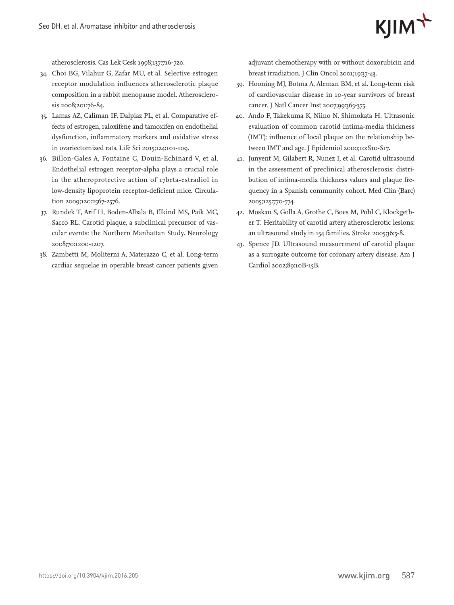

atherosclerosis. Cas Lek Cesk 1998;137:716-720.

- 34. Choi BG, Vilahur G, Zafar MU, et al. Selective estrogen receptor modulation influences atherosclerotic plaque composition in a rabbit menopause model. Atherosclerosis 2008;201:76-84.
- 35. Lamas AZ, Caliman IF, Dalpiaz PL, et al. Comparative effects of estrogen, raloxifene and tamoxifen on endothelial dysfunction, inflammatory markers and oxidative stress in ovariectomized rats. Life Sci 2015;124:101-109.
- 36. Billon-Gales A, Fontaine C, Douin-Echinard V, et al. Endothelial estrogen receptor-alpha plays a crucial role in the atheroprotective action of 17beta-estradiol in low-density lipoprotein receptor-deficient mice. Circulation 2009;120:2567-2576.
- 37. Rundek T, Arif H, Boden-Albala B, Elkind MS, Paik MC, Sacco RL. Carotid plaque, a subclinical precursor of vascular events: the Northern Manhattan Study. Neurology 2008;70:1200-1207.
- 38. Zambetti M, Moliterni A, Materazzo C, et al. Long-term cardiac sequelae in operable breast cancer patients given

adjuvant chemotherapy with or without doxorubicin and breast irradiation. J Clin Oncol 2001;19:37-43.

- 39. Hooning MJ, Botma A, Aleman BM, et al. Long-term risk of cardiovascular disease in 10-year survivors of breast cancer. J Natl Cancer Inst 2007;99:365-375.
- 40. Ando F, Takekuma K, Niino N, Shimokata H. Ultrasonic evaluation of common carotid intima-media thickness (IMT): influence of local plaque on the relationship between IMT and age. J Epidemiol 2000;10:S10-S17.
- 41. Junyent M, Gilabert R, Nunez I, et al. Carotid ultrasound in the assessment of preclinical atherosclerosis: distribution of intima-media thickness values and plaque frequency in a Spanish community cohort. Med Clin (Barc) 2005;125:770-774.
- 42. Moskau S, Golla A, Grothe C, Boes M, Pohl C, Klockgether T. Heritability of carotid artery atherosclerotic lesions: an ultrasound study in 154 families. Stroke 2005;36:5-8.
- 43. Spence JD. Ultrasound measurement of carotid plaque as a surrogate outcome for coronary artery disease. Am J Cardiol 2002;89:10B-15B.